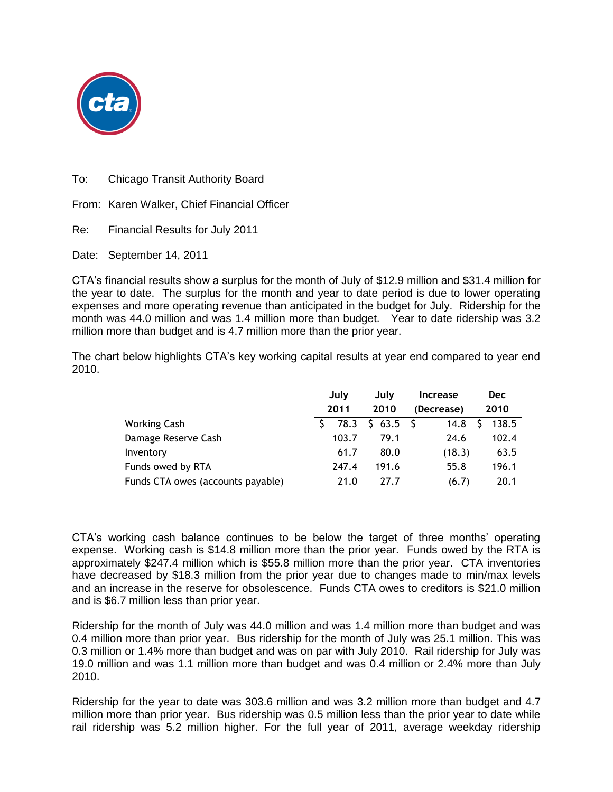

To: Chicago Transit Authority Board

From: Karen Walker, Chief Financial Officer

Re: Financial Results for July 2011

Date: September 14, 2011

CTA's financial results show a surplus for the month of July of \$12.9 million and \$31.4 million for the year to date. The surplus for the month and year to date period is due to lower operating expenses and more operating revenue than anticipated in the budget for July. Ridership for the month was 44.0 million and was 1.4 million more than budget. Year to date ridership was 3.2 million more than budget and is 4.7 million more than the prior year.

The chart below highlights CTA's key working capital results at year end compared to year end 2010.

|                                   |  | July<br>2011 |  | July            |  | <b>Increase</b> |  | <b>Dec</b> |  |
|-----------------------------------|--|--------------|--|-----------------|--|-----------------|--|------------|--|
|                                   |  |              |  | 2010            |  | (Decrease)      |  | 2010       |  |
| <b>Working Cash</b>               |  |              |  | 78.3 \$ 63.5 \$ |  | 14.8            |  | 138.5      |  |
| Damage Reserve Cash               |  | 103.7        |  | 79.1            |  | 24.6            |  | 102.4      |  |
| Inventory                         |  | 61.7         |  | 80.0            |  | (18.3)          |  | 63.5       |  |
| Funds owed by RTA                 |  | 247.4        |  | 191.6           |  | 55.8            |  | 196.1      |  |
| Funds CTA owes (accounts payable) |  | 21.0         |  | 27.7            |  | (6.7)           |  | 20.1       |  |

CTA's working cash balance continues to be below the target of three months' operating expense. Working cash is \$14.8 million more than the prior year. Funds owed by the RTA is approximately \$247.4 million which is \$55.8 million more than the prior year. CTA inventories have decreased by \$18.3 million from the prior year due to changes made to min/max levels and an increase in the reserve for obsolescence. Funds CTA owes to creditors is \$21.0 million and is \$6.7 million less than prior year.

Ridership for the month of July was 44.0 million and was 1.4 million more than budget and was 0.4 million more than prior year. Bus ridership for the month of July was 25.1 million. This was 0.3 million or 1.4% more than budget and was on par with July 2010. Rail ridership for July was 19.0 million and was 1.1 million more than budget and was 0.4 million or 2.4% more than July 2010.

Ridership for the year to date was 303.6 million and was 3.2 million more than budget and 4.7 million more than prior year. Bus ridership was 0.5 million less than the prior year to date while rail ridership was 5.2 million higher. For the full year of 2011, average weekday ridership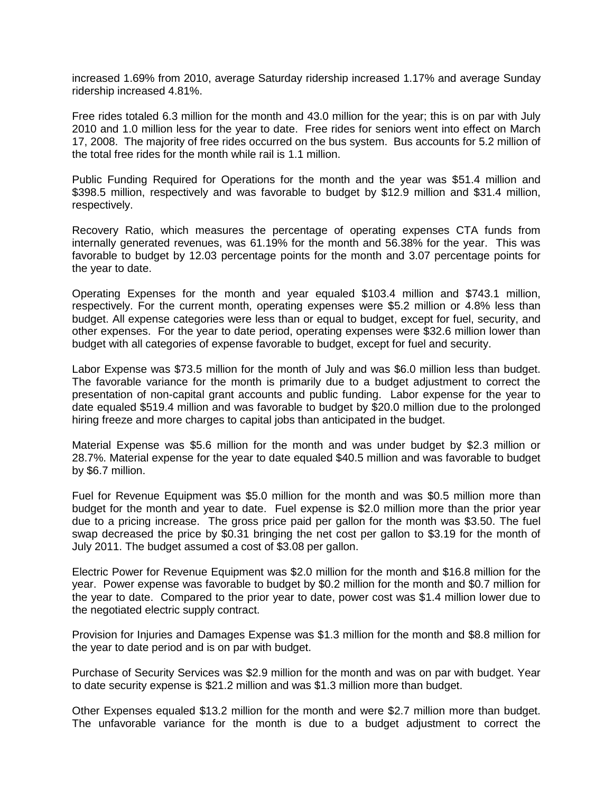increased 1.69% from 2010, average Saturday ridership increased 1.17% and average Sunday ridership increased 4.81%.

Free rides totaled 6.3 million for the month and 43.0 million for the year; this is on par with July 2010 and 1.0 million less for the year to date. Free rides for seniors went into effect on March 17, 2008. The majority of free rides occurred on the bus system. Bus accounts for 5.2 million of the total free rides for the month while rail is 1.1 million.

Public Funding Required for Operations for the month and the year was \$51.4 million and \$398.5 million, respectively and was favorable to budget by \$12.9 million and \$31.4 million, respectively.

Recovery Ratio, which measures the percentage of operating expenses CTA funds from internally generated revenues, was 61.19% for the month and 56.38% for the year. This was favorable to budget by 12.03 percentage points for the month and 3.07 percentage points for the year to date.

Operating Expenses for the month and year equaled \$103.4 million and \$743.1 million, respectively. For the current month, operating expenses were \$5.2 million or 4.8% less than budget. All expense categories were less than or equal to budget, except for fuel, security, and other expenses. For the year to date period, operating expenses were \$32.6 million lower than budget with all categories of expense favorable to budget, except for fuel and security.

Labor Expense was \$73.5 million for the month of July and was \$6.0 million less than budget. The favorable variance for the month is primarily due to a budget adjustment to correct the presentation of non-capital grant accounts and public funding. Labor expense for the year to date equaled \$519.4 million and was favorable to budget by \$20.0 million due to the prolonged hiring freeze and more charges to capital jobs than anticipated in the budget.

Material Expense was \$5.6 million for the month and was under budget by \$2.3 million or 28.7%. Material expense for the year to date equaled \$40.5 million and was favorable to budget by \$6.7 million.

Fuel for Revenue Equipment was \$5.0 million for the month and was \$0.5 million more than budget for the month and year to date. Fuel expense is \$2.0 million more than the prior year due to a pricing increase. The gross price paid per gallon for the month was \$3.50. The fuel swap decreased the price by \$0.31 bringing the net cost per gallon to \$3.19 for the month of July 2011. The budget assumed a cost of \$3.08 per gallon.

Electric Power for Revenue Equipment was \$2.0 million for the month and \$16.8 million for the year. Power expense was favorable to budget by \$0.2 million for the month and \$0.7 million for the year to date. Compared to the prior year to date, power cost was \$1.4 million lower due to the negotiated electric supply contract.

Provision for Injuries and Damages Expense was \$1.3 million for the month and \$8.8 million for the year to date period and is on par with budget.

Purchase of Security Services was \$2.9 million for the month and was on par with budget. Year to date security expense is \$21.2 million and was \$1.3 million more than budget.

Other Expenses equaled \$13.2 million for the month and were \$2.7 million more than budget. The unfavorable variance for the month is due to a budget adjustment to correct the